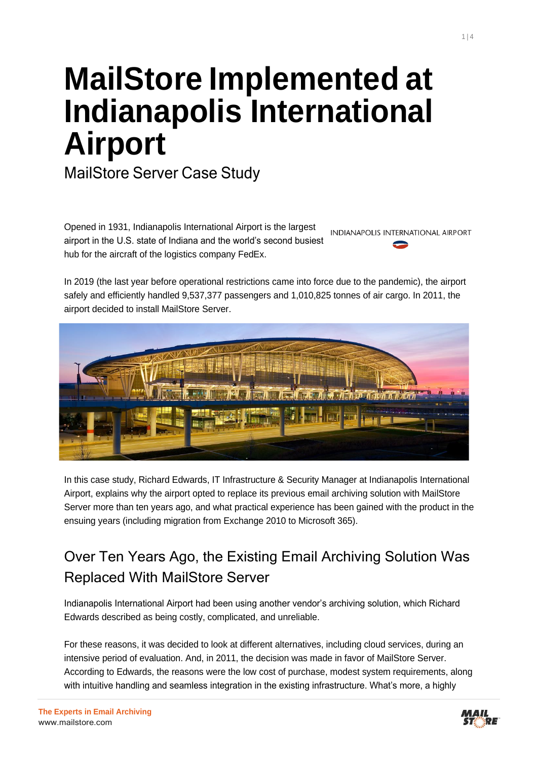# **MailStore Implemented at Indianapolis International Airport**

MailStore Server Case Study

Opened in 1931, Indianapolis International Airport is the largest INDIANAPOLIS INTERNATIONAL AIRPORT airport in the U.S. state of Indiana and the world's second busiest hub for the aircraft of the logistics company FedEx.

In 2019 (the last year before operational restrictions came into force due to the pandemic), the airport safely and efficiently handled 9,537,377 passengers and 1,010,825 tonnes of air cargo. In 2011, the airport decided to install MailStore Server.



In this case study, Richard Edwards, IT Infrastructure & Security Manager at Indianapolis International Airport, explains why the airport opted to replace its previous email archiving solution with MailStore Server more than ten years ago, and what practical experience has been gained with the product in the ensuing years (including migration from Exchange 2010 to Microsoft 365).

# Over Ten Years Ago, the Existing Email Archiving Solution Was Replaced With MailStore Server

Indianapolis International Airport had been using another vendor's archiving solution, which Richard Edwards described as being costly, complicated, and unreliable.

For these reasons, it was decided to look at different alternatives, including cloud services, during an intensive period of evaluation. And, in 2011, the decision was made in favor of MailStore Server. According to Edwards, the reasons were the low cost of purchase, modest system requirements, along with intuitive handling and seamless integration in the existing infrastructure. What's more, a highly

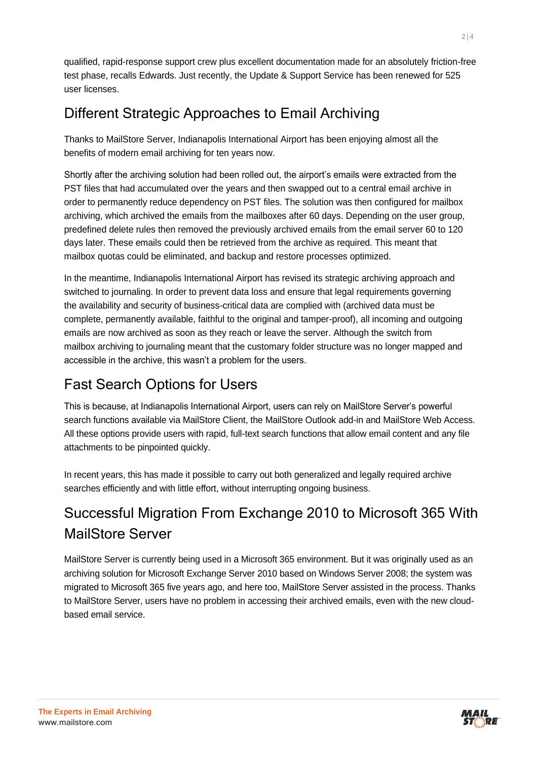qualified, rapid-response support crew plus excellent documentation made for an absolutely friction-free test phase, recalls Edwards. Just recently, the Update & Support Service has been renewed for 525 user licenses.

# Different Strategic Approaches to Email Archiving

Thanks to MailStore Server, Indianapolis International Airport has been enjoying almost all the benefits of modern email archiving for ten years now.

Shortly after the archiving solution had been rolled out, the airport's emails were extracted from the PST files that had accumulated over the years and then swapped out to a central email archive in order to permanently reduce dependency on PST files. The solution was then configured for mailbox archiving, which archived the emails from the mailboxes after 60 days. Depending on the user group, predefined delete rules then removed the previously archived emails from the email server 60 to 120 days later. These emails could then be retrieved from the archive as required. This meant that mailbox quotas could be eliminated, and backup and restore processes optimized.

In the meantime, Indianapolis International Airport has revised its strategic archiving approach and switched to journaling. In order to prevent data loss and ensure that legal requirements governing the availability and security of business-critical data are complied with (archived data must be complete, permanently available, faithful to the original and tamper-proof), all incoming and outgoing emails are now archived as soon as they reach or leave the server. Although the switch from mailbox archiving to journaling meant that the customary folder structure was no longer mapped and accessible in the archive, this wasn't a problem for the users.

# Fast Search Options for Users

This is because, at Indianapolis International Airport, users can rely on MailStore Server's powerful search functions available via MailStore Client, the MailStore Outlook add-in and MailStore Web Access. All these options provide users with rapid, full-text search functions that allow email content and any file attachments to be pinpointed quickly.

In recent years, this has made it possible to carry out both generalized and legally required archive searches efficiently and with little effort, without interrupting ongoing business.

# Successful Migration From Exchange 2010 to Microsoft 365 With MailStore Server

MailStore Server is currently being used in a Microsoft 365 environment. But it was originally used as an archiving solution for Microsoft Exchange Server 2010 based on Windows Server 2008; the system was migrated to Microsoft 365 five years ago, and here too, MailStore Server assisted in the process. Thanks to MailStore Server, users have no problem in accessing their archived emails, even with the new cloudbased email service.

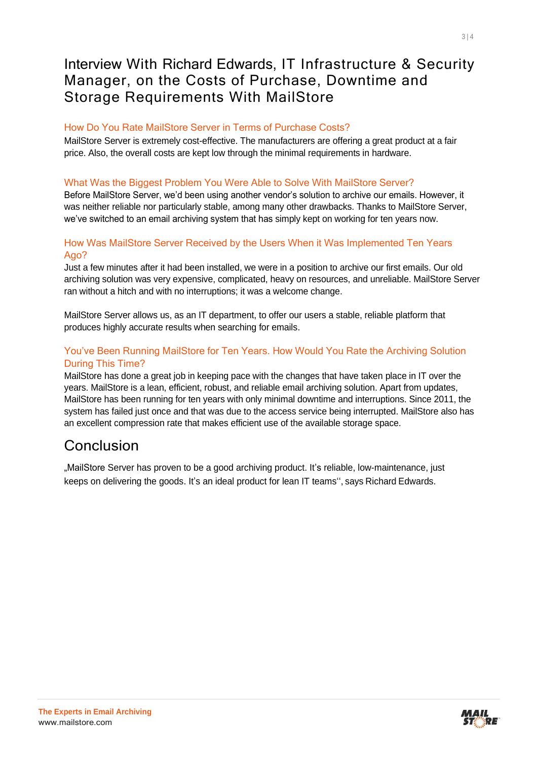### Interview With Richard Edwards, IT Infrastructure & Security Manager, on the Costs of Purchase, Downtime and Storage Requirements With MailStore

#### How Do You Rate MailStore Server in Terms of Purchase Costs?

MailStore Server is extremely cost-effective. The manufacturers are offering a great product at a fair price. Also, the overall costs are kept low through the minimal requirements in hardware.

#### What Was the Biggest Problem You Were Able to Solve With MailStore Server?

Before MailStore Server, we'd been using another vendor's solution to archive our emails. However, it was neither reliable nor particularly stable, among many other drawbacks. Thanks to MailStore Server, we've switched to an email archiving system that has simply kept on working for ten years now.

#### How Was MailStore Server Received by the Users When it Was Implemented Ten Years Ago?

Just a few minutes after it had been installed, we were in a position to archive our first emails. Our old archiving solution was very expensive, complicated, heavy on resources, and unreliable. MailStore Server ran without a hitch and with no interruptions; it was a welcome change.

MailStore Server allows us, as an IT department, to offer our users a stable, reliable platform that produces highly accurate results when searching for emails.

#### You've Been Running MailStore for Ten Years. How Would You Rate the Archiving Solution During This Time?

MailStore has done a great job in keeping pace with the changes that have taken place in IT over the years. MailStore is a lean, efficient, robust, and reliable email archiving solution. Apart from updates, MailStore has been running for ten years with only minimal downtime and interruptions. Since 2011, the system has failed just once and that was due to the access service being interrupted. MailStore also has an excellent compression rate that makes efficient use of the available storage space.

### Conclusion

"MailStore Server has proven to be a good archiving product. It's reliable, low-maintenance, just keeps on delivering the goods. It's an ideal product for lean IT teams'', says Richard Edwards.